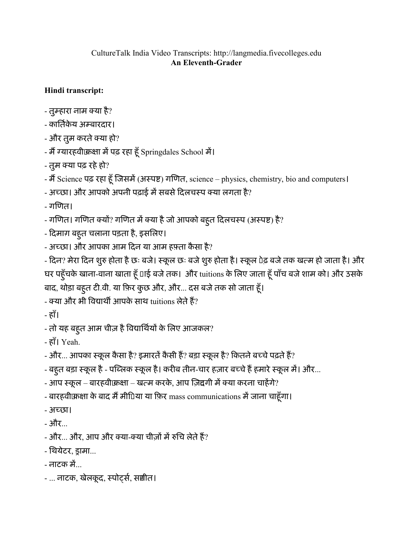## CultureTalk India Video Transcripts: http://langmedia.fivecolleges.edu An Eleventh-Grader

## Hindi transcript:

- तुम्हारा नाम क्या है?
- कार्तिकेय अम्बारदार।
- और तुम करते क्या हो?
- मैं ग्यारहवीकिक्षा में पढ़ रहा हूँ Springdales School में।
- तुम क्या पढ़ रहे हो?

- मैं Science पढ़ रहा हूँ जिसमें (अस्पष्ट) गणित, science – physics, chemistry, bio and computers।

- अच्छा। और आपको अपनी पढ़ाई में सबसे दिलचस्प क्या लगता है?
- गिणत।
- गणित। गणित क्यों? गणित में क्या है जो आपको बहुत दिलचस्प (अस्पष्ट) है?
- िदमाग़ बहतु चलाना पड़ता है, इसिलए।
- अच्छा। और आपका आम दिन या आम हफ़्ता कैसा है?
- दिन? मेरा दिन शुरु होता है छः बजे। स्कूल छः बजे शुरु होता है। स्कूल पेढ़ बजे तक खत्म हो जाता है। और घर पहूँचके खाना-वाना खाता हूँ [1ई बजे तक। और tuitions के लिए जाता हूँ पाँच बजे शाम को। और उसके बाद, थोड़ा बहुत टी.वी. या फ़िर कुछ और, और... दस बजे तक सो जाता हूँ।
- क्या और भी विद्यार्थी आपके साथ tuitions लेते हैं?
- हाँ।
- तो यह बहुत आम चीज़ है विद्यार्थियों के लिए आजकल?
- हाँ। Yeah.
- और... आपका स्कूल कैसा है? इमारतें कैसी हैं? बड़ा स्कूल है? कितने बच्चे पढ़ते हैं?
- बहुत बड़ा स्कूल है पब्लिक स्कूल है। करीब तीन-चार हज़ार बच्चे हैं हमारे स्कूल में। और...
- आप स्कूल बारहवीकिक्षा खत्म करके, आप ज़िद्दगी में क्या करना चाहेंगे?
- बारहवीकिक्षा के बाद मैं मीिया या फ़िर mass communications में जाना चाहूँगा।
- अच्छा।
- और...
- $-$  और... और, आप और क्या-क्या चीज़ों में रुचि लेते हैं?
- िथयेटर, सामा...
- नाटक में
- ... नाटक, खेलकूद, स्पोर्ट्स, संगीत।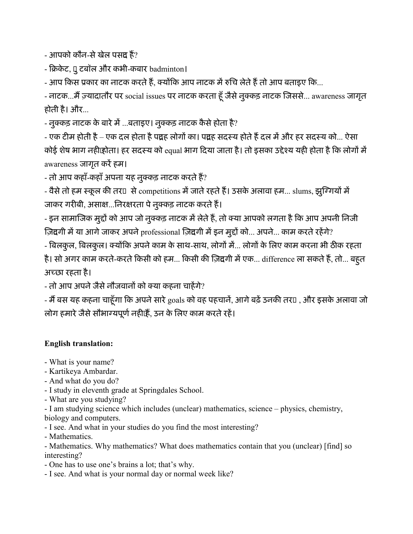- आपको कौन-से खेल पसं**द** हैं?

- क्रिकेट, पू टबॉल और कभी-कबार badminton।

- आप किस प्रकार का नाटक करते हैं, क्योंकि आप नाटक में रुचि लेते हैं तो आप बताइए कि...

- नाटक...मैं ज़्यादातौर पर social issues पर नाटक करता हूँ जैसे नुक्कड़ नाटक जिससे... awareness जागृत होती है। और...

- नुक्कड़ नाटक के बारे में ...बताइए। नुक्कड़ नाटक कैसे होता है?

- एक टीम होती है – एक दल होता है पं्रदह लोगों का। पं्रदह सदस्य होते हैं दल में और हर सदस्य को... ऐसा कोई शेष भाग नही़ाहोता। हर सदस्य को equal भाग दिया जाता है। तो इसका उद्देश्य यही होता है कि लोगों में awareness जागृत करें हम।

- तो आप कहाँ-कहाँ अपना यह नुक्कड़ नाटक करते हैं?

- वैसे तो हम स्कूल की तर $\scriptstyle\rm II$  से competitions में जाते रहते हैं। उसके अलावा हम... slums, झुग्गियों में जाकर गरीबी, असाक्ष...निरक्षरता पे नुक्कड़ नाटक करते हैं।

- इन सामाजिक मुद्दों को आप जो नुक्कड़ नाटक में लेते हैं, तो क्या आपको लगता है कि आप अपनी निजी ज़िदगी में या आगे जाकर अपने professional ज़िदगी में इन मुद्दों को... अपने... काम करते रहेंगे?

- बिलकुल, बिलकुल। क्योंकि अपने काम के साथ-साथ, लोगों में... लोगों के लिए काम करना भी ठीक रहता है। सो अगर काम करते-करते किसी को हम... किसी की ज़िद्यगी में एक... difference ला सकते हैं, तो... बहुत अच्छा रहता है।

- तो आप अपने जैसे नौजवानों को क्या कहना चाहेंगे?

- मैं बस यह कहना चाहूँगा कि अपने सारे goals को वह पहचानें, आगे बढ़ें उनकी तर¤ , और इसके अलावा जो लोग हमारे जैसे सौभाग्यपूर्ण नहीं हैं, उन के लिए काम करते रहें।

## English translation:

- What is your name?
- Kartikeya Ambardar.
- And what do you do?
- I study in eleventh grade at Springdales School.
- What are you studying?

- I am studying science which includes (unclear) mathematics, science – physics, chemistry, biology and computers.

- I see. And what in your studies do you find the most interesting?

- Mathematics.

- Mathematics. Why mathematics? What does mathematics contain that you (unclear) [find] so interesting?

- One has to use one's brains a lot; that's why.
- I see. And what is your normal day or normal week like?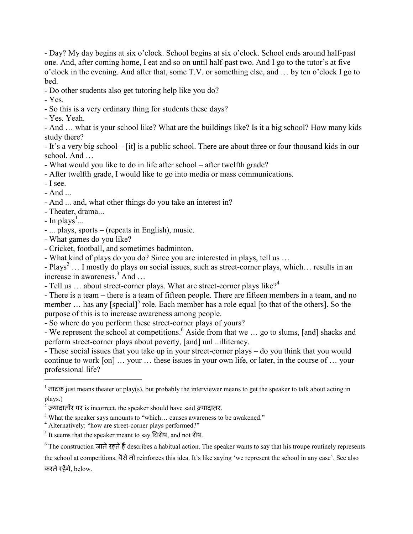- Day? My day begins at six o'clock. School begins at six o'clock. School ends around half-past one. And, after coming home, I eat and so on until half-past two. And I go to the tutor's at five o'clock in the evening. And after that, some T.V. or something else, and … by ten o'clock I go to bed.

- Do other students also get tutoring help like you do?

- Yes.

- So this is a very ordinary thing for students these days?
- Yes. Yeah.

- And … what is your school like? What are the buildings like? Is it a big school? How many kids study there?

- It's a very big school – [it] is a public school. There are about three or four thousand kids in our school. And …

- What would you like to do in life after school after twelfth grade?
- After twelfth grade, I would like to go into media or mass communications.
- I see.
- And ...

 $\overline{a}$ 

- And ... and, what other things do you take an interest in?
- Theater, drama...
- In plays<sup>1</sup>...
- ... plays, sports (repeats in English), music.
- What games do you like?
- Cricket, football, and sometimes badminton.

- What kind of plays do you do? Since you are interested in plays, tell us …

- Plays<sup>2</sup> ... I mostly do plays on social issues, such as street-corner plays, which... results in an increase in awareness.<sup>3</sup> And …

- Tell us  $\ldots$  about street-corner plays. What are street-corner plays like?<sup>4</sup>

- There is a team – there is a team of fifteen people. There are fifteen members in a team, and no member  $\ldots$  has any [special]<sup>5</sup> role. Each member has a role equal [to that of the others]. So the purpose of this is to increase awareness among people.

- So where do you perform these street-corner plays of yours?

- We represent the school at competitions.<sup>6</sup> Aside from that we ... go to slums, [and] shacks and perform street-corner plays about poverty, [and] unl ..illiteracy.

- These social issues that you take up in your street-corner plays – do you think that you would continue to work [on] … your … these issues in your own life, or later, in the course of … your professional life?

the school at competitions. वैसेतो reinforces this idea. It's like saying 'we represent the school in any case'. See also करतेरहगे, below.

 $1$   $\overline{el}$  and  $\overline{el}$  is the means theater or play(s), but probably the interviewer means to get the speaker to talk about acting in plays.)

<sup>&</sup>lt;sup>2</sup> ज़्यादातौर पर is incorrect. the speaker should have said ज़्यादातर.

 $3$  What the speaker says amounts to "which... causes awareness to be awakened."

<sup>&</sup>lt;sup>4</sup> Alternatively: "how are street-corner plays performed?"

<sup>&</sup>lt;sup>5</sup> It seems that the speaker meant to say विशेष, and not शेष.

<sup>&</sup>lt;sup>6</sup> The construction जाते रहते हैं describes a habitual action. The speaker wants to say that his troupe routinely represents